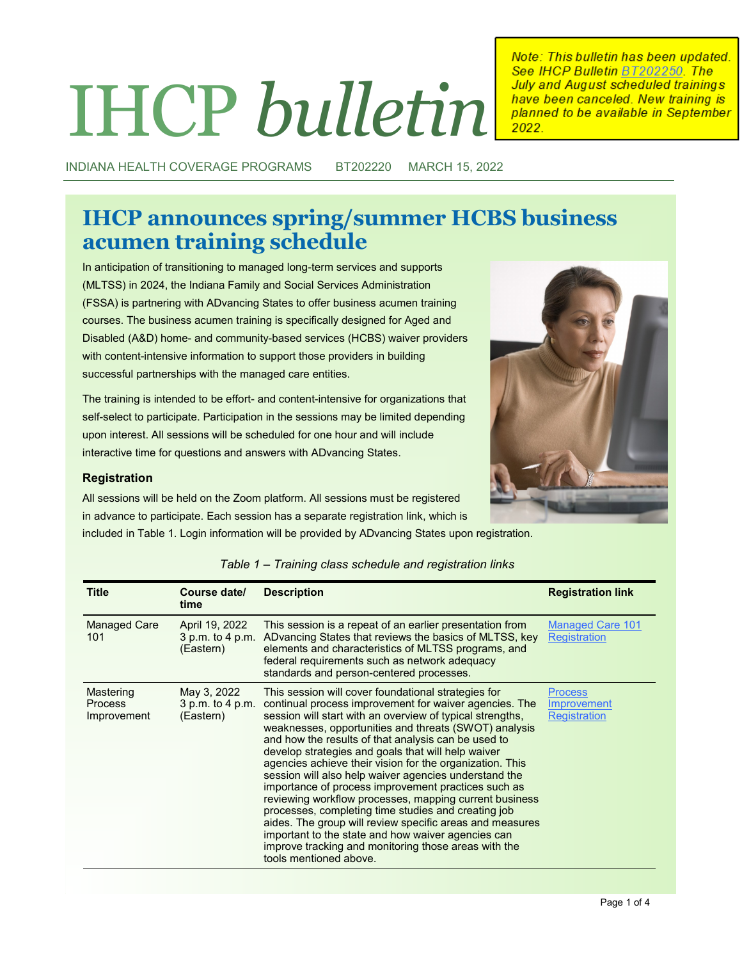# IHCP *bulletin*

Note: This bulletin has been updated. See IHCP Bulletin BT202250. The **July and August scheduled trainings** have been canceled. New training is planned to be available in September

INDIANA HEALTH COVERAGE PROGRAMS BT202220 MARCH 15, 2022

# **IHCP announces spring/summer HCBS business acumen training schedule**

In anticipation of transitioning to managed long-term services and supports (MLTSS) in 2024, the Indiana Family and Social Services Administration (FSSA) is partnering with ADvancing States to offer business acumen training courses. The business acumen training is specifically designed for Aged and Disabled (A&D) home- and community-based services (HCBS) waiver providers with content-intensive information to support those providers in building successful partnerships with the managed care entities.

The training is intended to be effort- and content-intensive for organizations that self-select to participate. Participation in the sessions may be limited depending upon interest. All sessions will be scheduled for one hour and will include interactive time for questions and answers with ADvancing States.



#### **Registration**

All sessions will be held on the Zoom platform. All sessions must be registered in advance to participate. Each session has a separate registration link, which is

included in Table 1. Login information will be provided by ADvancing States upon registration.

| <b>Title</b>                               | Course date/<br>time                            | <b>Description</b>                                                                                                                                                                                                                                                                                                                                                                                                                                                                                                                                                                                                                                                                                                                                                                                                                                | <b>Registration link</b>                             |
|--------------------------------------------|-------------------------------------------------|---------------------------------------------------------------------------------------------------------------------------------------------------------------------------------------------------------------------------------------------------------------------------------------------------------------------------------------------------------------------------------------------------------------------------------------------------------------------------------------------------------------------------------------------------------------------------------------------------------------------------------------------------------------------------------------------------------------------------------------------------------------------------------------------------------------------------------------------------|------------------------------------------------------|
| Managed Care<br>101                        | April 19, 2022<br>3 p.m. to 4 p.m.<br>(Eastern) | This session is a repeat of an earlier presentation from<br>ADvancing States that reviews the basics of MLTSS, key<br>elements and characteristics of MLTSS programs, and<br>federal requirements such as network adequacy<br>standards and person-centered processes.                                                                                                                                                                                                                                                                                                                                                                                                                                                                                                                                                                            | <b>Managed Care 101</b><br>Registration              |
| Mastering<br><b>Process</b><br>Improvement | May 3, 2022<br>3 p.m. to 4 p.m.<br>(Eastern)    | This session will cover foundational strategies for<br>continual process improvement for waiver agencies. The<br>session will start with an overview of typical strengths,<br>weaknesses, opportunities and threats (SWOT) analysis<br>and how the results of that analysis can be used to<br>develop strategies and goals that will help waiver<br>agencies achieve their vision for the organization. This<br>session will also help waiver agencies understand the<br>importance of process improvement practices such as<br>reviewing workflow processes, mapping current business<br>processes, completing time studies and creating job<br>aides. The group will review specific areas and measures<br>important to the state and how waiver agencies can<br>improve tracking and monitoring those areas with the<br>tools mentioned above. | <b>Process</b><br>Improvement<br><b>Registration</b> |

*Table 1 – Training class schedule and registration links*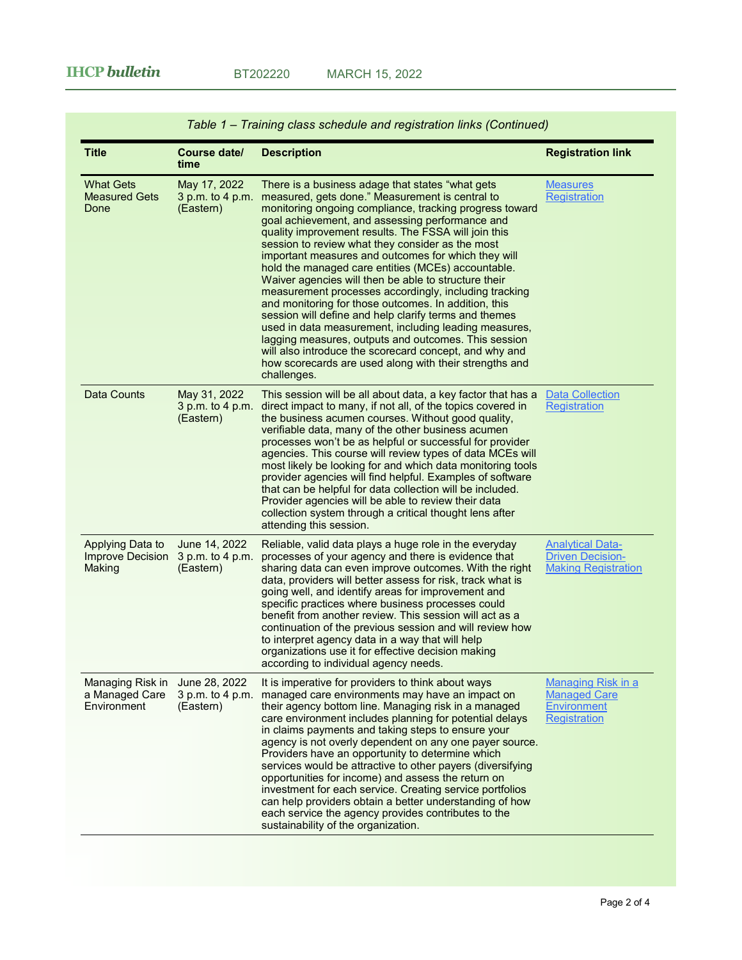| <b>Title</b>                                          | Course date/<br>time                           | <b>Description</b>                                                                                                                                                                                                                                                                                                                                                                                                                                                                                                                                                                                                                                                                                                                                                                                                                                                                                                               | <b>Registration link</b>                                                                      |
|-------------------------------------------------------|------------------------------------------------|----------------------------------------------------------------------------------------------------------------------------------------------------------------------------------------------------------------------------------------------------------------------------------------------------------------------------------------------------------------------------------------------------------------------------------------------------------------------------------------------------------------------------------------------------------------------------------------------------------------------------------------------------------------------------------------------------------------------------------------------------------------------------------------------------------------------------------------------------------------------------------------------------------------------------------|-----------------------------------------------------------------------------------------------|
| <b>What Gets</b><br><b>Measured Gets</b><br>Done      | May 17, 2022<br>3 p.m. to 4 p.m.<br>(Eastern)  | There is a business adage that states "what gets<br>measured, gets done." Measurement is central to<br>monitoring ongoing compliance, tracking progress toward<br>goal achievement, and assessing performance and<br>quality improvement results. The FSSA will join this<br>session to review what they consider as the most<br>important measures and outcomes for which they will<br>hold the managed care entities (MCEs) accountable.<br>Waiver agencies will then be able to structure their<br>measurement processes accordingly, including tracking<br>and monitoring for those outcomes. In addition, this<br>session will define and help clarify terms and themes<br>used in data measurement, including leading measures,<br>lagging measures, outputs and outcomes. This session<br>will also introduce the scorecard concept, and why and<br>how scorecards are used along with their strengths and<br>challenges. | <b>Measures</b><br><b>Registration</b>                                                        |
| <b>Data Counts</b>                                    | May 31, 2022<br>3 p.m. to 4 p.m.<br>(Eastern)  | This session will be all about data, a key factor that has a<br>direct impact to many, if not all, of the topics covered in<br>the business acumen courses. Without good quality,<br>verifiable data, many of the other business acumen<br>processes won't be as helpful or successful for provider<br>agencies. This course will review types of data MCEs will<br>most likely be looking for and which data monitoring tools<br>provider agencies will find helpful. Examples of software<br>that can be helpful for data collection will be included.<br>Provider agencies will be able to review their data<br>collection system through a critical thought lens after<br>attending this session.                                                                                                                                                                                                                            | <b>Data Collection</b><br>Registration                                                        |
| Applying Data to<br><b>Improve Decision</b><br>Making | June 14, 2022<br>3 p.m. to 4 p.m.<br>(Eastern) | Reliable, valid data plays a huge role in the everyday<br>processes of your agency and there is evidence that<br>sharing data can even improve outcomes. With the right<br>data, providers will better assess for risk, track what is<br>going well, and identify areas for improvement and<br>specific practices where business processes could<br>benefit from another review. This session will act as a<br>continuation of the previous session and will review how<br>to interpret agency data in a way that will help<br>organizations use it for effective decision making<br>according to individual agency needs.                                                                                                                                                                                                                                                                                                       | <b>Analytical Data-</b><br><b>Driven Decision-</b><br><b>Making Registration</b>              |
| Managing Risk in<br>a Managed Care<br>Environment     | June 28, 2022<br>3 p.m. to 4 p.m.<br>(Eastern) | It is imperative for providers to think about ways<br>managed care environments may have an impact on<br>their agency bottom line. Managing risk in a managed<br>care environment includes planning for potential delays<br>in claims payments and taking steps to ensure your<br>agency is not overly dependent on any one payer source.<br>Providers have an opportunity to determine which<br>services would be attractive to other payers (diversifying<br>opportunities for income) and assess the return on<br>investment for each service. Creating service portfolios<br>can help providers obtain a better understanding of how<br>each service the agency provides contributes to the<br>sustainability of the organization.                                                                                                                                                                                           | <u>Managing Risk in a</u><br><b>Managed Care</b><br><b>Environment</b><br><b>Registration</b> |

*Table 1 – Training class schedule and registration links (Continued)*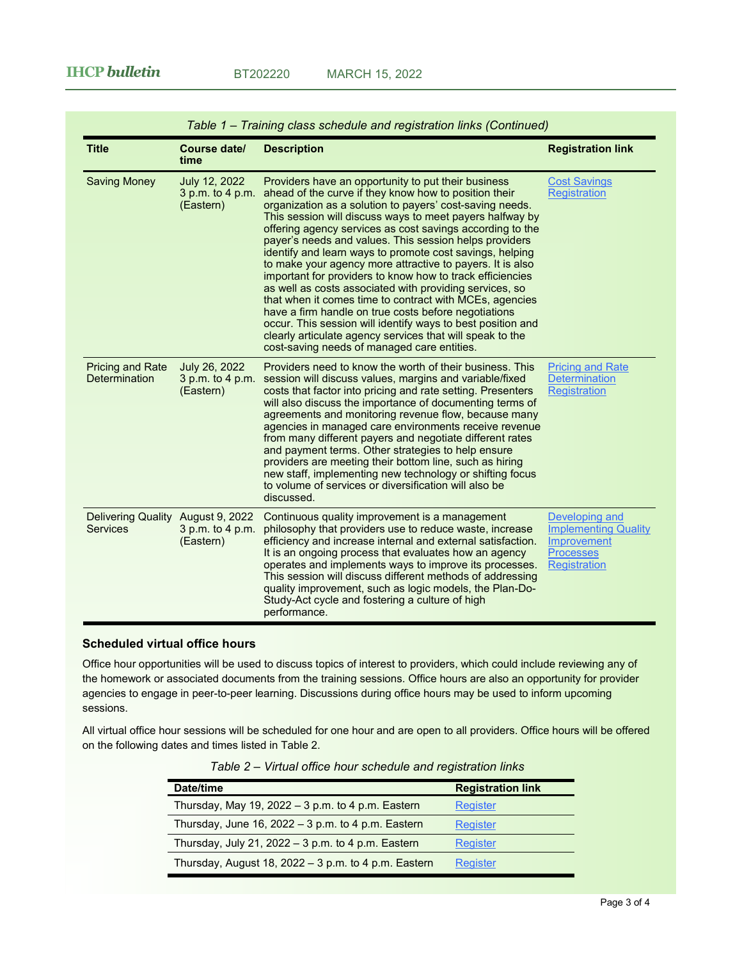| <b>Title</b>                                         | Course date/<br>time                           | <b>Description</b>                                                                                                                                                                                                                                                                                                                                                                                                                                                                                                                                                                                                                                                                                                                                                                                                                                                                                         | <b>Registration link</b>                                                                                |
|------------------------------------------------------|------------------------------------------------|------------------------------------------------------------------------------------------------------------------------------------------------------------------------------------------------------------------------------------------------------------------------------------------------------------------------------------------------------------------------------------------------------------------------------------------------------------------------------------------------------------------------------------------------------------------------------------------------------------------------------------------------------------------------------------------------------------------------------------------------------------------------------------------------------------------------------------------------------------------------------------------------------------|---------------------------------------------------------------------------------------------------------|
| <b>Saving Money</b>                                  | July 12, 2022<br>3 p.m. to 4 p.m.<br>(Eastern) | Providers have an opportunity to put their business<br>ahead of the curve if they know how to position their<br>organization as a solution to payers' cost-saving needs.<br>This session will discuss ways to meet payers halfway by<br>offering agency services as cost savings according to the<br>payer's needs and values. This session helps providers<br>identify and learn ways to promote cost savings, helping<br>to make your agency more attractive to payers. It is also<br>important for providers to know how to track efficiencies<br>as well as costs associated with providing services, so<br>that when it comes time to contract with MCEs, agencies<br>have a firm handle on true costs before negotiations<br>occur. This session will identify ways to best position and<br>clearly articulate agency services that will speak to the<br>cost-saving needs of managed care entities. | <b>Cost Savings</b><br><b>Registration</b>                                                              |
| <b>Pricing and Rate</b><br><b>Determination</b>      | July 26, 2022<br>3 p.m. to 4 p.m.<br>(Eastern) | Providers need to know the worth of their business. This<br>session will discuss values, margins and variable/fixed<br>costs that factor into pricing and rate setting. Presenters<br>will also discuss the importance of documenting terms of<br>agreements and monitoring revenue flow, because many<br>agencies in managed care environments receive revenue<br>from many different payers and negotiate different rates<br>and payment terms. Other strategies to help ensure<br>providers are meeting their bottom line, such as hiring<br>new staff, implementing new technology or shifting focus<br>to volume of services or diversification will also be<br>discussed.                                                                                                                                                                                                                            | <b>Pricing and Rate</b><br><b>Determination</b><br><b>Registration</b>                                  |
| Delivering Quality August 9, 2022<br><b>Services</b> | 3 p.m. to 4 p.m.<br>(Eastern)                  | Continuous quality improvement is a management<br>philosophy that providers use to reduce waste, increase<br>efficiency and increase internal and external satisfaction.<br>It is an ongoing process that evaluates how an agency<br>operates and implements ways to improve its processes.<br>This session will discuss different methods of addressing<br>quality improvement, such as logic models, the Plan-Do-<br>Study-Act cycle and fostering a culture of high<br>performance.                                                                                                                                                                                                                                                                                                                                                                                                                     | <b>Developing and</b><br><b>Implementing Quality</b><br>Improvement<br><b>Processes</b><br>Registration |

*Table 1 – Training class schedule and registration links (Continued)*

#### **Scheduled virtual office hours**

Office hour opportunities will be used to discuss topics of interest to providers, which could include reviewing any of the homework or associated documents from the training sessions. Office hours are also an opportunity for provider agencies to engage in peer-to-peer learning. Discussions during office hours may be used to inform upcoming sessions.

All virtual office hour sessions will be scheduled for one hour and are open to all providers. Office hours will be offered on the following dates and times listed in Table 2.

| Date/time                                              | <b>Registration link</b> |
|--------------------------------------------------------|--------------------------|
| Thursday, May 19, 2022 $-$ 3 p.m. to 4 p.m. Eastern    | <b>Register</b>          |
| Thursday, June 16, 2022 $-$ 3 p.m. to 4 p.m. Eastern   | <b>Register</b>          |
| Thursday, July 21, 2022 $-$ 3 p.m. to 4 p.m. Eastern   | <b>Register</b>          |
| Thursday, August 18, 2022 $-$ 3 p.m. to 4 p.m. Eastern | <b>Register</b>          |

*Table 2 – Virtual office hour schedule and registration links*